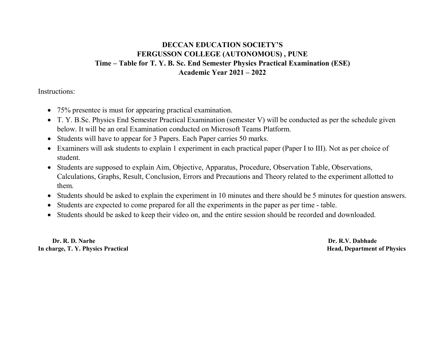## DECCAN EDUCATION SOCIETY'S FERGUSSON COLLEGE (AUTONOMOUS) , PUNE Time – Table for T. Y. B. Sc. End Semester Physics Practical Examination (ESE) Academic Year 2021 – 2022

Instructions:

- 75% presentee is must for appearing practical examination.
- T. Y. B.Sc. Physics End Semester Practical Examination (semester V) will be conducted as per the schedule given below. It will be an oral Examination conducted on Microsoft Teams Platform.
- Students will have to appear for 3 Papers. Each Paper carries 50 marks.
- Examiners will ask students to explain 1 experiment in each practical paper (Paper I to III). Not as per choice of student.
- Students are supposed to explain Aim, Objective, Apparatus, Procedure, Observation Table, Observations, Calculations, Graphs, Result, Conclusion, Errors and Precautions and Theory related to the experiment allotted to them.
- Students should be asked to explain the experiment in 10 minutes and there should be 5 minutes for question answers.
- Students are expected to come prepared for all the experiments in the paper as per time table.
- Students should be asked to keep their video on, and the entire session should be recorded and downloaded.

 Dr. R. D. Narhe Dr. R.V. Dabhade In charge, T. Y. Physics Practical intervals and the set of Physics Alexander School Head, Department of Physics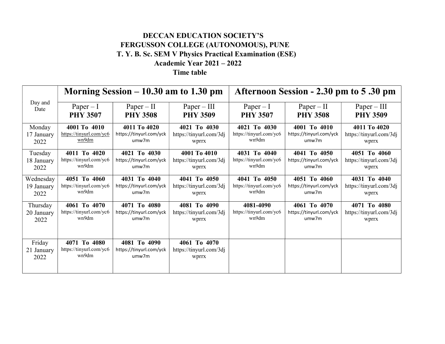## DECCAN EDUCATION SOCIETY'S FERGUSSON COLLEGE (AUTONOMOUS), PUNE T. Y. B. Sc. SEM V Physics Practical Examination (ESE) Academic Year 2021 – 2022 Time table

| Day and<br>Date              | Morning Session $-10.30$ am to 1.30 pm           |                                                  |                                                  | Afternoon Session - 2.30 pm to 5.30 pm |                                 |                                  |
|------------------------------|--------------------------------------------------|--------------------------------------------------|--------------------------------------------------|----------------------------------------|---------------------------------|----------------------------------|
|                              | $Paper - I$<br><b>PHY 3507</b>                   | $Paper - II$<br><b>PHY 3508</b>                  | $Paper - III$<br><b>PHY 3509</b>                 | $Paper - I$<br><b>PHY 3507</b>         | $Paper - II$<br><b>PHY 3508</b> | $Paper - III$<br><b>PHY 3509</b> |
| Monday                       | 4001 To 4010                                     | 4011 To 4020                                     | 4021 To 4030                                     | 4021 To 4030                           | 4001 To 4010                    | 4011 To 4020                     |
| 17 January                   | https://tinyurl.com/yc6                          | https://tinyurl.com/yck                          | https://tinyurl.com/3dj                          | https://tinyurl.com/yc6                | https://tinyurl.com/yck         | https://tinyurl.com/3dj          |
| 2022                         | wn9dm                                            | umw7m                                            | wprrx                                            | wn9dm                                  | umw7m                           | wprrx                            |
| Tuesday                      | 4011 To 4020                                     | 4021 To 4030                                     | 4001 To 4010                                     | 4031 To 4040                           | 4041 To 4050                    | 4051 To 4060                     |
| 18 January                   | https://tinyurl.com/yc6                          | https://tinyurl.com/yck                          | https://tinyurl.com/3dj                          | https://tinyurl.com/yc6                | https://tinyurl.com/yck         | https://tinyurl.com/3dj          |
| 2022                         | wn9dm                                            | umw7m                                            | wprrx                                            | wn9dm                                  | umw7m                           | <b>Wprrx</b>                     |
| Wednesday                    | 4051 To 4060                                     | 4031 To 4040                                     | 4041 To 4050                                     | 4041 To 4050                           | 4051 To 4060                    | 4031 To 4040                     |
| 19 January                   | https://tinyurl.com/yc6                          | https://tinyurl.com/yck                          | https://tinyurl.com/3dj                          | https://tinyurl.com/yc6                | https://tinyurl.com/yck         | https://tinyurl.com/3dj          |
| 2022                         | wn9dm                                            | umw7m                                            | <b>Wprrx</b>                                     | wn9dm                                  | umw7m                           | wprrx                            |
| Thursday                     | 4061 To 4070                                     | 4071 To 4080                                     | 4081 To 4090                                     | 4081-4090                              | 4061 To 4070                    | 4071 To 4080                     |
| 20 January                   | https://tinyurl.com/yc6                          | https://tinyurl.com/yck                          | https://tinyurl.com/3dj                          | https://tinyurl.com/yc6                | https://tinyurl.com/yck         | https://tinyurl.com/3dj          |
| 2022                         | wn9dm                                            | umw7m                                            | wprrx                                            | wn9dm                                  | umw7m                           | wprrx                            |
| Friday<br>21 January<br>2022 | 4071 To 4080<br>https://tinyurl.com/yc6<br>wn9dm | 4081 To 4090<br>https://tinyurl.com/yck<br>umw7m | 4061 To 4070<br>https://tinyurl.com/3dj<br>wprrx |                                        |                                 |                                  |